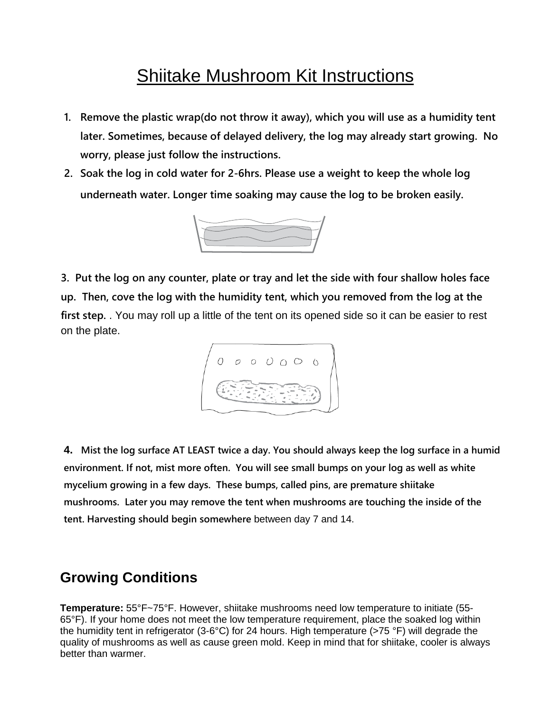# Shiitake Mushroom Kit Instructions

- **1. Remove the plastic wrap(do not throw it away), which you will use as a humidity tent later. Sometimes, because of delayed delivery, the log may already start growing. No worry, please just follow the instructions.**
- **2. Soak the log in cold water for 2-6hrs. Please use a weight to keep the whole log underneath water. Longer time soaking may cause the log to be broken easily.**



**3. Put the log on any counter, plate or tray and let the side with four shallow holes face up. Then, cove the log with the humidity tent, which you removed from the log at the first step.** . You may roll up a little of the tent on its opened side so it can be easier to rest on the plate.



4. Mist the log surface AT LEAST twice a day. You should always keep the log surface in a humid **environment. If not, mist more often. You will see small bumps on your log as well as white mycelium growing in a few days. These bumps, called pins, are premature shiitake mushrooms. Later you may remove the tent when mushrooms are touching the inside of the tent. Harvesting should begin somewhere** between day 7 and 14.

## **Growing Conditions**

**Temperature:** 55°F~75°F. However, shiitake mushrooms need low temperature to initiate (55- 65°F). If your home does not meet the low temperature requirement, place the soaked log within the humidity tent in refrigerator (3-6°C) for 24 hours. High temperature (>75 °F) will degrade the quality of mushrooms as well as cause green mold. Keep in mind that for shiitake, cooler is always better than warmer.